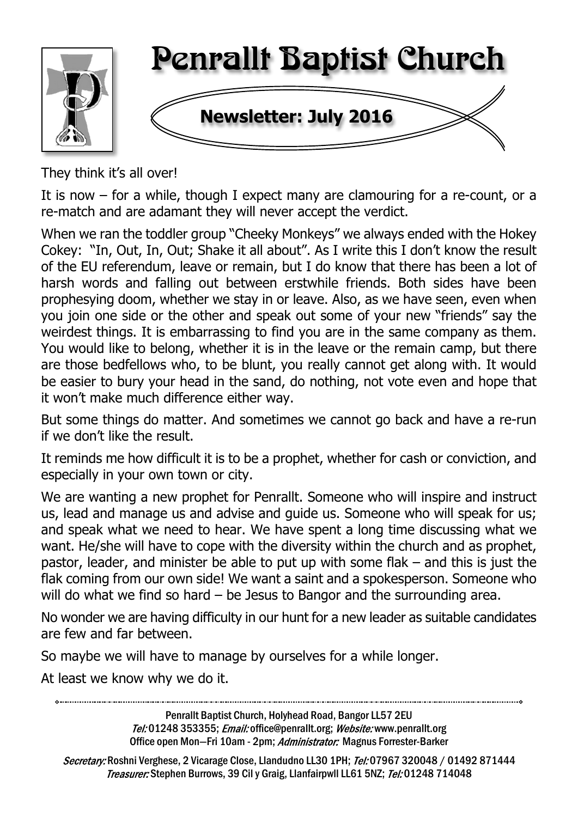

They think it's all over!

It is now – for a while, though I expect many are clamouring for a re-count, or a re-match and are adamant they will never accept the verdict.

When we ran the toddler group "Cheeky Monkeys" we always ended with the Hokey Cokey: "In, Out, In, Out; Shake it all about". As I write this I don't know the result of the EU referendum, leave or remain, but I do know that there has been a lot of harsh words and falling out between erstwhile friends. Both sides have been prophesying doom, whether we stay in or leave. Also, as we have seen, even when you join one side or the other and speak out some of your new "friends" say the weirdest things. It is embarrassing to find you are in the same company as them. You would like to belong, whether it is in the leave or the remain camp, but there are those bedfellows who, to be blunt, you really cannot get along with. It would be easier to bury your head in the sand, do nothing, not vote even and hope that it won't make much difference either way.

But some things do matter. And sometimes we cannot go back and have a re-run if we don't like the result.

It reminds me how difficult it is to be a prophet, whether for cash or conviction, and especially in your own town or city.

We are wanting a new prophet for Penrallt. Someone who will inspire and instruct us, lead and manage us and advise and guide us. Someone who will speak for us; and speak what we need to hear. We have spent a long time discussing what we want. He/she will have to cope with the diversity within the church and as prophet, pastor, leader, and minister be able to put up with some flak – and this is just the flak coming from our own side! We want a saint and a spokesperson. Someone who will do what we find so hard – be Jesus to Bangor and the surrounding area.

No wonder we are having difficulty in our hunt for a new leader as suitable candidates are few and far between.

So maybe we will have to manage by ourselves for a while longer.

At least we know why we do it.

Penrallt Baptist Church, Holyhead Road, Bangor LL57 2EU Tel:01248 353355; Email: office@penrallt.org; Website: www.penrallt.org Office open Mon-Fri 10am - 2pm; Administrator: Magnus Forrester-Barker

Secretary: Roshni Verghese, 2 Vicarage Close, Llandudno LL30 1PH; Tel: 07967 320048 / 01492 871444 Treasurer: Stephen Burrows, 39 Cil y Graig, Llanfairpwll LL61 5NZ; Tel: 01248 714048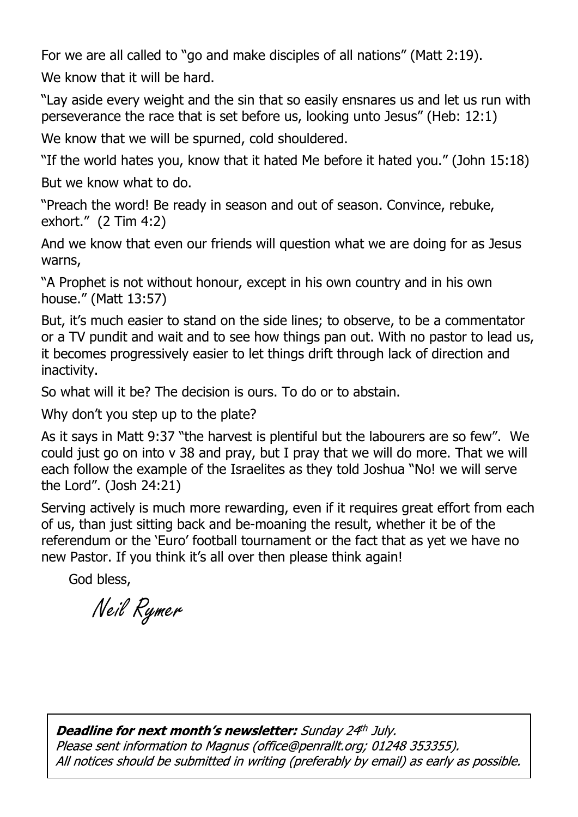For we are all called to "go and make disciples of all nations" (Matt 2:19). We know that it will be hard.

"Lay aside every weight and the sin that so easily ensnares us and let us run with perseverance the race that is set before us, looking unto Jesus" (Heb: 12:1)

We know that we will be spurned, cold shouldered.

"If the world hates you, know that it hated Me before it hated you." (John 15:18)

But we know what to do.

"Preach the word! Be ready in season and out of season. Convince, rebuke, exhort." (2 Tim 4:2)

And we know that even our friends will question what we are doing for as Jesus warns,

"A Prophet is not without honour, except in his own country and in his own house." (Matt 13:57)

But, it's much easier to stand on the side lines; to observe, to be a commentator or a TV pundit and wait and to see how things pan out. With no pastor to lead us, it becomes progressively easier to let things drift through lack of direction and inactivity.

So what will it be? The decision is ours. To do or to abstain.

Why don't you step up to the plate?

As it says in Matt 9:37 "the harvest is plentiful but the labourers are so few". We could just go on into v 38 and pray, but I pray that we will do more. That we will each follow the example of the Israelites as they told Joshua "No! we will serve the Lord". (Josh 24:21)

Serving actively is much more rewarding, even if it requires great effort from each of us, than just sitting back and be-moaning the result, whether it be of the referendum or the 'Euro' football tournament or the fact that as yet we have no new Pastor. If you think it's all over then please think again!

God bless,

Neil Rymer

**Deadline for next month's newsletter:** Sunday 24th July. Please sent information to Magnus (office@penrallt.org; 01248 353355). All notices should be submitted in writing (preferably by email) as early as possible.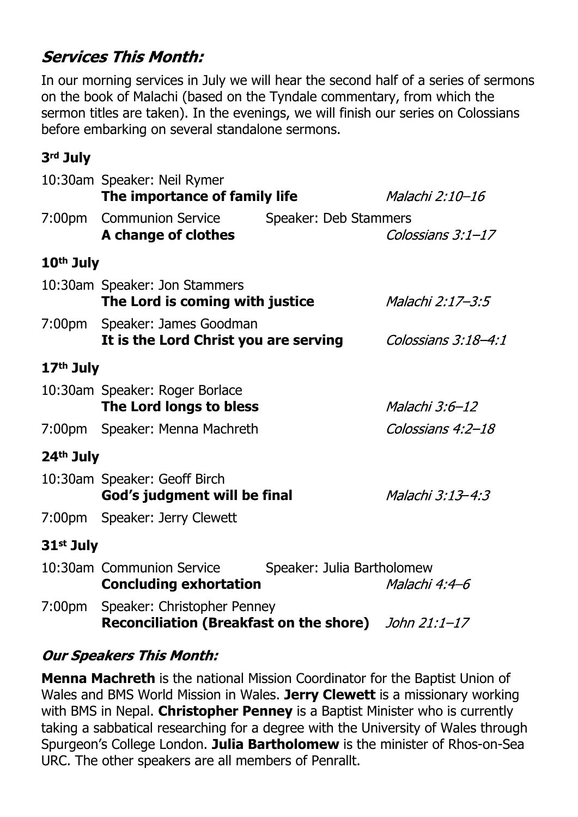# **Services This Month:**

In our morning services in July we will hear the second half of a series of sermons on the book of Malachi (based on the Tyndale commentary, from which the sermon titles are taken). In the evenings, we will finish our series on Colossians before embarking on several standalone sermons.

## **3rd July**

|                       | 10:30am Speaker: Neil Rymer<br>The importance of family life                        |                            | Malachi 2:10-16     |
|-----------------------|-------------------------------------------------------------------------------------|----------------------------|---------------------|
| 7:00 <sub>pm</sub>    | <b>Communion Service</b><br>A change of clothes                                     | Speaker: Deb Stammers      | Colossians $3:1-17$ |
| 10 <sup>th</sup> July |                                                                                     |                            |                     |
|                       | 10:30am Speaker: Jon Stammers<br>The Lord is coming with justice                    |                            | Malachi 2:17–3:5    |
|                       | 7:00pm Speaker: James Goodman<br>It is the Lord Christ you are serving              |                            | Colossians 3:18-4:1 |
| 17 <sup>th</sup> July |                                                                                     |                            |                     |
|                       | 10:30am Speaker: Roger Borlace<br>The Lord longs to bless                           |                            | Malachi 3:6-12      |
|                       | 7:00pm Speaker: Menna Machreth                                                      |                            | Colossians 4:2-18   |
| 24 <sup>th</sup> July |                                                                                     |                            |                     |
|                       | 10:30am Speaker: Geoff Birch<br>God's judgment will be final                        |                            | Malachi 3:13-4:3    |
|                       | 7:00pm Speaker: Jerry Clewett                                                       |                            |                     |
| 31st July             |                                                                                     |                            |                     |
|                       | 10:30am Communion Service<br><b>Concluding exhortation</b>                          | Speaker: Julia Bartholomew | Malachi 4:4–6       |
| 7:00 <sub>pm</sub>    | Speaker: Christopher Penney<br>Reconciliation (Breakfast on the shore) John 21:1-17 |                            |                     |

## **Our Speakers This Month:**

**Menna Machreth** is the national Mission Coordinator for the Baptist Union of Wales and BMS World Mission in Wales. **Jerry Clewett** is a missionary working with BMS in Nepal. **Christopher Penney** is a Baptist Minister who is currently taking a sabbatical researching for a degree with the University of Wales through Spurgeon's College London. **Julia Bartholomew** is the minister of Rhos-on-Sea URC. The other speakers are all members of Penrallt.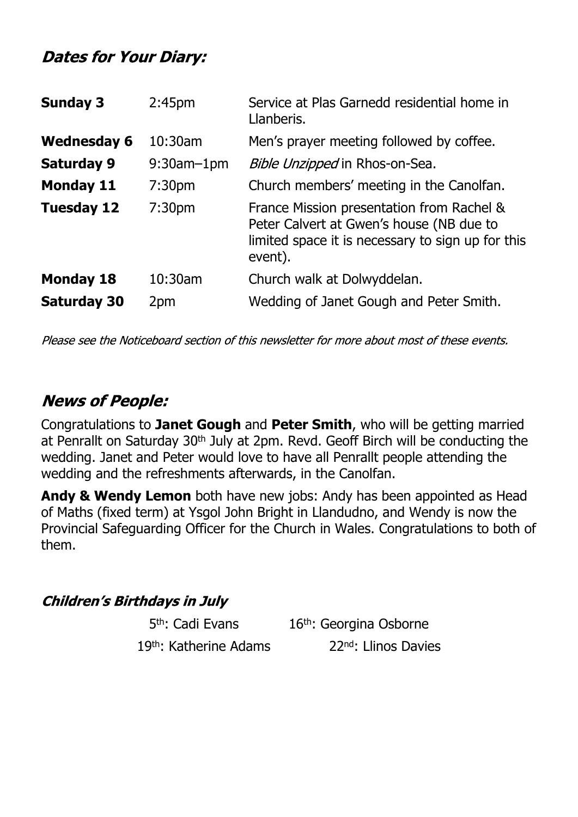## **Dates for Your Diary:**

| <b>Sunday 3</b>    | 2:45 <sub>pm</sub> | Service at Plas Garnedd residential home in<br>Llanberis.                                                                                             |
|--------------------|--------------------|-------------------------------------------------------------------------------------------------------------------------------------------------------|
| <b>Wednesday 6</b> | 10:30am            | Men's prayer meeting followed by coffee.                                                                                                              |
| <b>Saturday 9</b>  | $9:30$ am $-1$ pm  | Bible Unzipped in Rhos-on-Sea.                                                                                                                        |
| <b>Monday 11</b>   | 7:30 <sub>pm</sub> | Church members' meeting in the Canolfan.                                                                                                              |
| <b>Tuesday 12</b>  | 7:30 <sub>pm</sub> | France Mission presentation from Rachel &<br>Peter Calvert at Gwen's house (NB due to<br>limited space it is necessary to sign up for this<br>event). |
| <b>Monday 18</b>   | 10:30am            | Church walk at Dolwyddelan.                                                                                                                           |
| <b>Saturday 30</b> | 2pm                | Wedding of Janet Gough and Peter Smith.                                                                                                               |

Please see the Noticeboard section of this newsletter for more about most of these events.

# **News of People:**

Congratulations to **Janet Gough** and **Peter Smith**, who will be getting married at Penrallt on Saturday 30<sup>th</sup> July at 2pm. Revd. Geoff Birch will be conducting the wedding. Janet and Peter would love to have all Penrallt people attending the wedding and the refreshments afterwards, in the Canolfan.

**Andy & Wendy Lemon** both have new jobs: Andy has been appointed as Head of Maths (fixed term) at Ysgol John Bright in Llandudno, and Wendy is now the Provincial Safeguarding Officer for the Church in Wales. Congratulations to both of them.

#### **Children's Birthdays in July**

5<sup>th</sup>: Cadi Evans

16<sup>th</sup>: Georgina Osborne 19<sup>th</sup>: Katherine Adams 22<sup>nd</sup>: Llinos Davies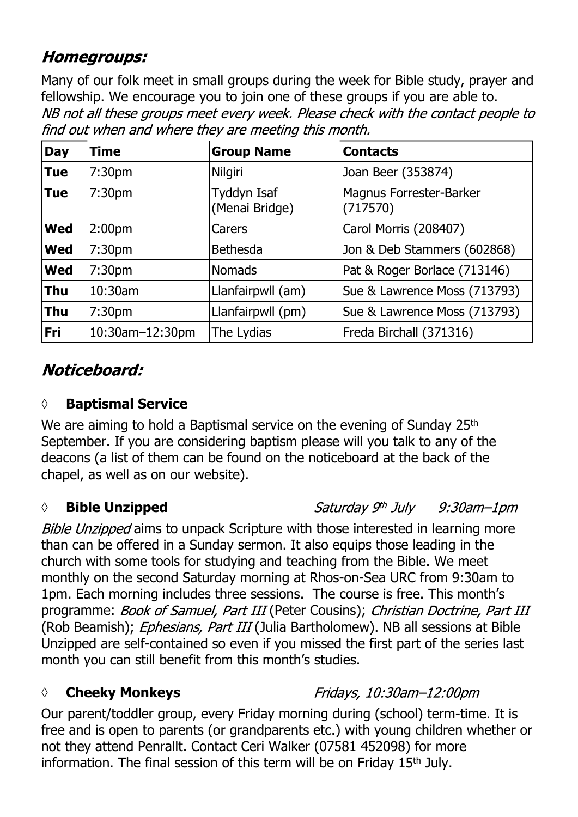# **Homegroups:**

Many of our folk meet in small groups during the week for Bible study, prayer and fellowship. We encourage you to join one of these groups if you are able to.<br>NB not all these groups meet every week. Please check with the contact people to find out when and where they are meeting this month.

| <b>Day</b> | <b>Time</b>        | <b>Group Name</b>             | <b>Contacts</b>                     |
|------------|--------------------|-------------------------------|-------------------------------------|
| <b>Tue</b> | 7:30 <sub>pm</sub> | <b>Nilgiri</b>                | Joan Beer (353874)                  |
| <b>Tue</b> | 7:30 <sub>pm</sub> | Tyddyn Isaf<br>(Menai Bridge) | Magnus Forrester-Barker<br>(717570) |
| <b>Wed</b> | 2:00 <sub>pm</sub> | Carers                        | Carol Morris (208407)               |
| <b>Wed</b> | 7:30 <sub>pm</sub> | <b>Bethesda</b>               | Jon & Deb Stammers (602868)         |
| <b>Wed</b> | 7:30 <sub>pm</sub> | <b>Nomads</b>                 | Pat & Roger Borlace (713146)        |
| <b>Thu</b> | 10:30am            | Llanfairpwll (am)             | Sue & Lawrence Moss (713793)        |
| <b>Thu</b> | 7:30 <sub>pm</sub> | Llanfairpwll (pm)             | Sue & Lawrence Moss (713793)        |
| <b>Fri</b> | 10:30am-12:30pm    | The Lydias                    | Freda Birchall (371316)             |

# Noticeboard:

## **◊ Baptismal Service**

We are aiming to hold a Baptismal service on the evening of Sunday 25<sup>th</sup> September. If you are considering baptism please will you talk to any of the deacons (a list of them can be found on the noticeboard at the back of the chapel, as well as on our website).

## *◊* **Bible Unzipped**

Saturday 9th July  $9:30$ am $-1$ pm

Fridays, 10:30am-12:00pm

Bible Unzipped aims to unpack Scripture with those interested in learning more than can be offered in a Sunday sermon. It also equips those leading in the church with some tools for studying and teaching from the Bible. We meet monthly on the second Saturday morning at Rhos-on-Sea URC from 9:30am to 1pm. Each morning includes three sessions. The course is free. This month's programme: Book of Samuel, Part III (Peter Cousins); Christian Doctrine, Part III (Rob Beamish); Ephesians, Part III (Julia Bartholomew). NB all sessions at Bible Unzipped are self-contained so even if you missed the first part of the series last month you can still benefit from this month's studies.

## *◊* **Cheeky Monkeys**

Our parent/toddler group, every Friday morning during (school) term-time. It is free and is open to parents (or grandparents etc.) with young children whether or not they attend Penrallt. Contact Ceri Walker (07581 452098) for more information. The final session of this term will be on Friday 15<sup>th</sup> July.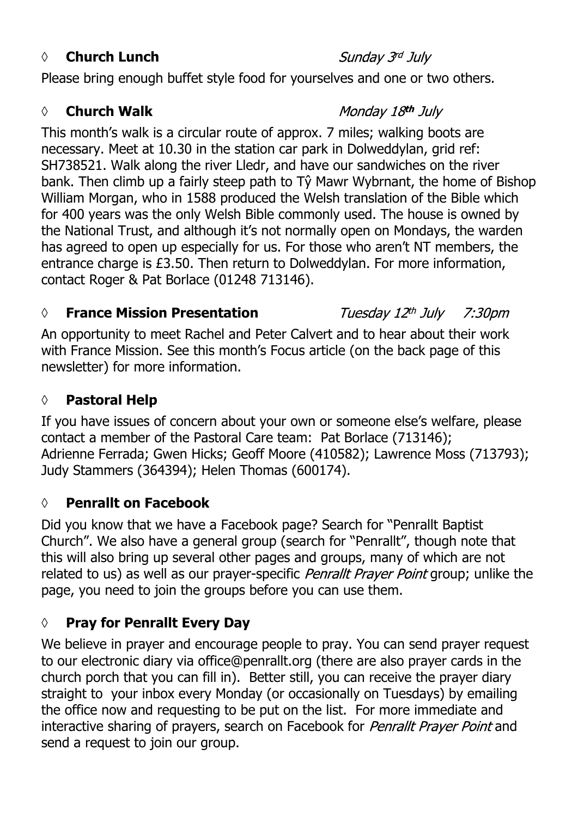#### *◊* **Church Lunch**

Please bring enough buffet style food for yourselves and one or two others.

#### **◊ Church Walk**

#### Monday 18th July

This month's walk is a circular route of approx. 7 miles; walking boots are necessary. Meet at 10.30 in the station car park in Dolweddylan, grid ref: SH738521. Walk along the river Lledr, and have our sandwiches on the river bank. Then climb up a fairly steep path to Tŷ Mawr Wybrnant, the home of Bishop William Morgan, who in 1588 produced the Welsh translation of the Bible which for 400 years was the only Welsh Bible commonly used. The house is owned by the National Trust, and although it's not normally open on Mondays, the warden has agreed to open up especially for us. For those who aren't NT members, the entrance charge is £3.50. Then return to Dolweddylan. For more information, contact Roger & Pat Borlace (01248 713146).

#### **◊ France Mission Presentation**

An opportunity to meet Rachel and Peter Calvert and to hear about their work with France Mission. See this month's Focus article (on the back page of this newsletter) for more information.

## **◊ Pastoral Help**

If you have issues of concern about your own or someone else's welfare, please contact a member of the Pastoral Care team: Pat Borlace (713146); Adrienne Ferrada; Gwen Hicks; Geoff Moore (410582); Lawrence Moss (713793); Judy Stammers (364394); Helen Thomas (600174).

#### **◊ Penrallt on Facebook**

Did you know that we have a Facebook page? Search for "Penrallt Baptist Church". We also have a general group (search for "Penrallt", though note that this will also bring up several other pages and groups, many of which are not related to us) as well as our prayer-specific *Penrallt Prayer Point* group; unlike the page, you need to join the groups before you can use them.

## **◊ Pray for Penrallt Every Day**

We believe in prayer and encourage people to pray. You can send prayer request to our electronic diary via office@penrallt.org (there are also prayer cards in the church porch that you can fill in). Better still, you can receive the prayer diary straight to your inbox every Monday (or occasionally on Tuesdays) by emailing the office now and requesting to be put on the list. For more immediate and interactive sharing of prayers, search on Facebook for Penrallt Prayer Point and send a request to join our group.

#### Sunday 3rd July

 $7:30$ pm

Tuesday 12th July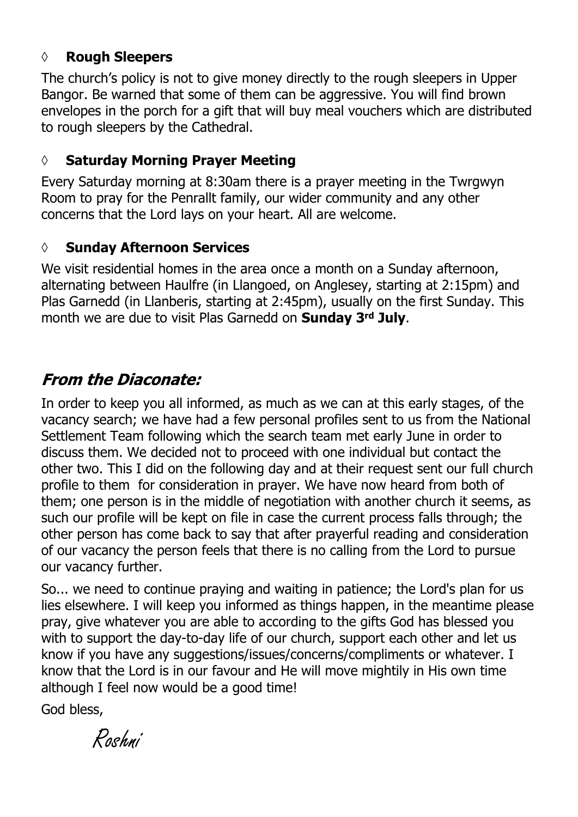#### **◊ Rough Sleepers**

The church's policy is not to give money directly to the rough sleepers in Upper Bangor. Be warned that some of them can be aggressive. You will find brown envelopes in the porch for a gift that will buy meal vouchers which are distributed to rough sleepers by the Cathedral.

#### **◊ Saturday Morning Prayer Meeting**

Every Saturday morning at 8:30am there is a prayer meeting in the Twrgwyn Room to pray for the Penrallt family, our wider community and any other concerns that the Lord lays on your heart. All are welcome.

#### **◊ Sunday Afternoon Services**

We visit residential homes in the area once a month on a Sunday afternoon, alternating between Haulfre (in Llangoed, on Anglesey, starting at 2:15pm) and Plas Garnedd (in Llanberis, starting at 2:45pm), usually on the first Sunday. This month we are due to visit Plas Garnedd on **Sunday 3rd July**.

## **From the Diaconate:**

In order to keep you all informed, as much as we can at this early stages, of the vacancy search; we have had a few personal profiles sent to us from the National Settlement Team following which the search team met early June in order to discuss them. We decided not to proceed with one individual but contact the other two. This I did on the following day and at their request sent our full church profile to them for consideration in prayer. We have now heard from both of them; one person is in the middle of negotiation with another church it seems, as such our profile will be kept on file in case the current process falls through; the other person has come back to say that after prayerful reading and consideration of our vacancy the person feels that there is no calling from the Lord to pursue our vacancy further.

So... we need to continue praying and waiting in patience; the Lord's plan for us lies elsewhere. I will keep you informed as things happen, in the meantime please pray, give whatever you are able to according to the gifts God has blessed you with to support the day-to-day life of our church, support each other and let us know if you have any suggestions/issues/concerns/compliments or whatever. I know that the Lord is in our favour and He will move mightily in His own time although I feel now would be a good time!

God bless,

Roshni